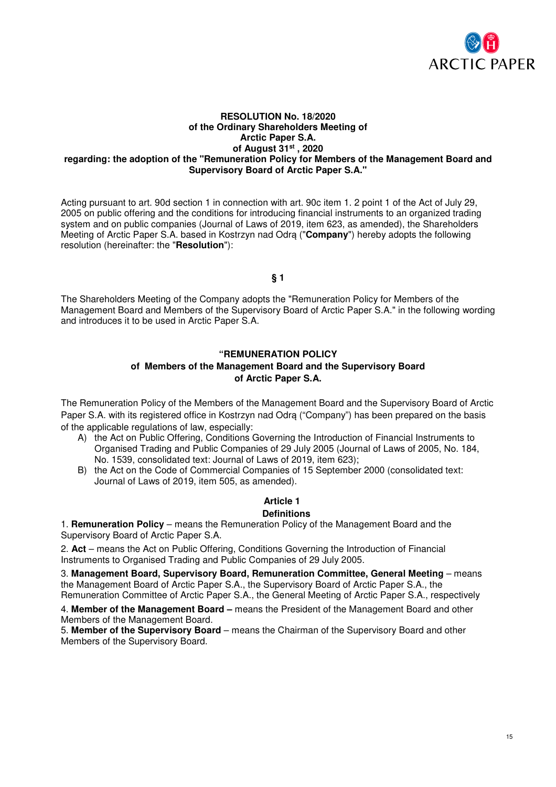

#### **RESOLUTION No. 18/2020 of the Ordinary Shareholders Meeting of Arctic Paper S.A. of August 31st , 2020 regarding: the adoption of the "Remuneration Policy for Members of the Management Board and Supervisory Board of Arctic Paper S.A."**

Acting pursuant to art. 90d section 1 in connection with art. 90c item 1. 2 point 1 of the Act of July 29, 2005 on public offering and the conditions for introducing financial instruments to an organized trading system and on public companies (Journal of Laws of 2019, item 623, as amended), the Shareholders Meeting of Arctic Paper S.A. based in Kostrzyn nad Odrą ("**Company**") hereby adopts the following resolution (hereinafter: the "**Resolution**"):

**§ 1** 

The Shareholders Meeting of the Company adopts the "Remuneration Policy for Members of the Management Board and Members of the Supervisory Board of Arctic Paper S.A." in the following wording and introduces it to be used in Arctic Paper S.A.

## **"REMUNERATION POLICY**

## **of Members of the Management Board and the Supervisory Board of Arctic Paper S.A.**

The Remuneration Policy of the Members of the Management Board and the Supervisory Board of Arctic Paper S.A. with its registered office in Kostrzyn nad Odrą ("Company") has been prepared on the basis of the applicable regulations of law, especially:

- A) the Act on Public Offering, Conditions Governing the Introduction of Financial Instruments to Organised Trading and Public Companies of 29 July 2005 (Journal of Laws of 2005, No. 184, No. 1539, consolidated text: Journal of Laws of 2019, item 623);
- B) the Act on the Code of Commercial Companies of 15 September 2000 (consolidated text: Journal of Laws of 2019, item 505, as amended).

# **Article 1**

## **Definitions**

1. **Remuneration Policy** – means the Remuneration Policy of the Management Board and the Supervisory Board of Arctic Paper S.A.

2. **Act** – means the Act on Public Offering, Conditions Governing the Introduction of Financial Instruments to Organised Trading and Public Companies of 29 July 2005.

3. **Management Board, Supervisory Board, Remuneration Committee, General Meeting** – means the Management Board of Arctic Paper S.A., the Supervisory Board of Arctic Paper S.A., the Remuneration Committee of Arctic Paper S.A., the General Meeting of Arctic Paper S.A., respectively

4. **Member of the Management Board –** means the President of the Management Board and other Members of the Management Board.

5. **Member of the Supervisory Board** – means the Chairman of the Supervisory Board and other Members of the Supervisory Board.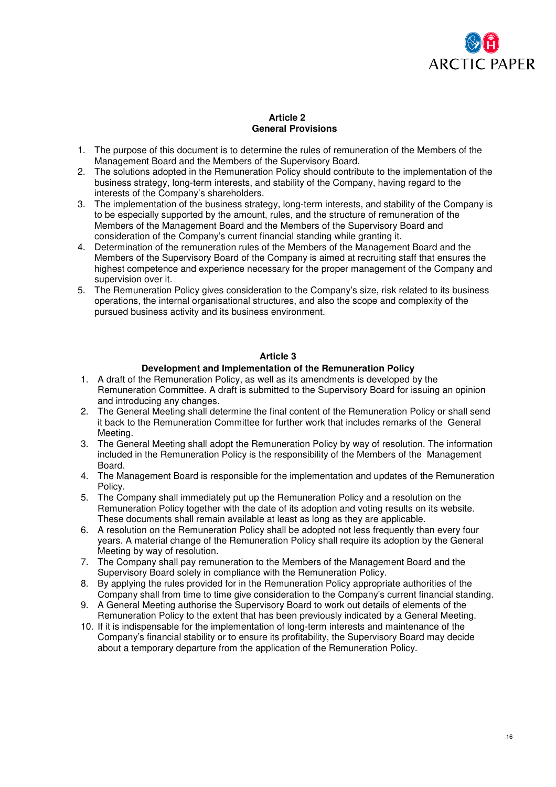

#### **Article 2 General Provisions**

- 1. The purpose of this document is to determine the rules of remuneration of the Members of the Management Board and the Members of the Supervisory Board.
- 2. The solutions adopted in the Remuneration Policy should contribute to the implementation of the business strategy, long-term interests, and stability of the Company, having regard to the interests of the Company's shareholders.
- 3. The implementation of the business strategy, long-term interests, and stability of the Company is to be especially supported by the amount, rules, and the structure of remuneration of the Members of the Management Board and the Members of the Supervisory Board and consideration of the Company's current financial standing while granting it.
- 4. Determination of the remuneration rules of the Members of the Management Board and the Members of the Supervisory Board of the Company is aimed at recruiting staff that ensures the highest competence and experience necessary for the proper management of the Company and supervision over it.
- 5. The Remuneration Policy gives consideration to the Company's size, risk related to its business operations, the internal organisational structures, and also the scope and complexity of the pursued business activity and its business environment.

## **Article 3**

#### **Development and Implementation of the Remuneration Policy**

- 1. A draft of the Remuneration Policy, as well as its amendments is developed by the Remuneration Committee. A draft is submitted to the Supervisory Board for issuing an opinion and introducing any changes.
- 2. The General Meeting shall determine the final content of the Remuneration Policy or shall send it back to the Remuneration Committee for further work that includes remarks of the General Meeting.
- 3. The General Meeting shall adopt the Remuneration Policy by way of resolution. The information included in the Remuneration Policy is the responsibility of the Members of the Management Board.
- 4. The Management Board is responsible for the implementation and updates of the Remuneration Policy.
- 5. The Company shall immediately put up the Remuneration Policy and a resolution on the Remuneration Policy together with the date of its adoption and voting results on its website. These documents shall remain available at least as long as they are applicable.
- 6. A resolution on the Remuneration Policy shall be adopted not less frequently than every four years. A material change of the Remuneration Policy shall require its adoption by the General Meeting by way of resolution.
- 7. The Company shall pay remuneration to the Members of the Management Board and the Supervisory Board solely in compliance with the Remuneration Policy.
- 8. By applying the rules provided for in the Remuneration Policy appropriate authorities of the Company shall from time to time give consideration to the Company's current financial standing.
- 9. A General Meeting authorise the Supervisory Board to work out details of elements of the Remuneration Policy to the extent that has been previously indicated by a General Meeting.
- 10. If it is indispensable for the implementation of long-term interests and maintenance of the Company's financial stability or to ensure its profitability, the Supervisory Board may decide about a temporary departure from the application of the Remuneration Policy.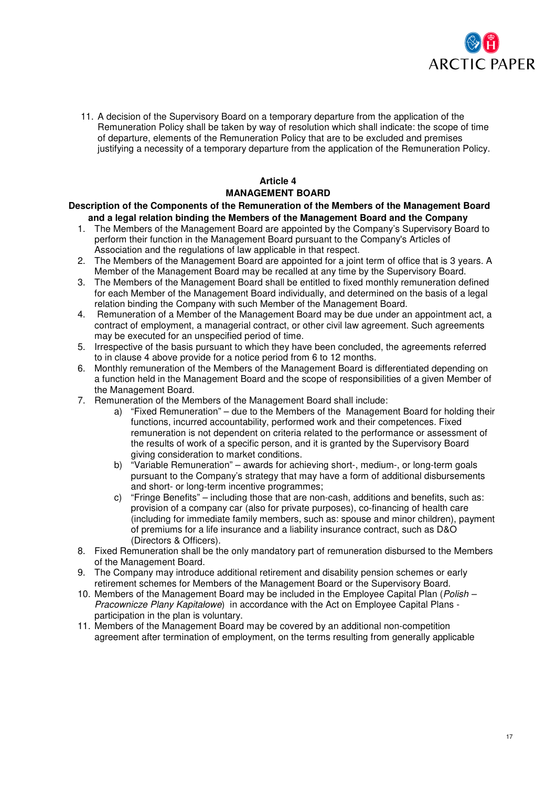

11. A decision of the Supervisory Board on a temporary departure from the application of the Remuneration Policy shall be taken by way of resolution which shall indicate: the scope of time of departure, elements of the Remuneration Policy that are to be excluded and premises justifying a necessity of a temporary departure from the application of the Remuneration Policy.

# **Article 4 MANAGEMENT BOARD**

#### **Description of the Components of the Remuneration of the Members of the Management Board and a legal relation binding the Members of the Management Board and the Company**

- 1. The Members of the Management Board are appointed by the Company's Supervisory Board to perform their function in the Management Board pursuant to the Company's Articles of Association and the regulations of law applicable in that respect.
- 2. The Members of the Management Board are appointed for a joint term of office that is 3 years. A Member of the Management Board may be recalled at any time by the Supervisory Board.
- 3. The Members of the Management Board shall be entitled to fixed monthly remuneration defined for each Member of the Management Board individually, and determined on the basis of a legal relation binding the Company with such Member of the Management Board.
- 4. Remuneration of a Member of the Management Board may be due under an appointment act, a contract of employment, a managerial contract, or other civil law agreement. Such agreements may be executed for an unspecified period of time.
- 5. Irrespective of the basis pursuant to which they have been concluded, the agreements referred to in clause 4 above provide for a notice period from 6 to 12 months.
- 6. Monthly remuneration of the Members of the Management Board is differentiated depending on a function held in the Management Board and the scope of responsibilities of a given Member of the Management Board.
- 7. Remuneration of the Members of the Management Board shall include:
	- a) "Fixed Remuneration" due to the Members of the Management Board for holding their functions, incurred accountability, performed work and their competences. Fixed remuneration is not dependent on criteria related to the performance or assessment of the results of work of a specific person, and it is granted by the Supervisory Board giving consideration to market conditions.
	- b) "Variable Remuneration" awards for achieving short-, medium-, or long-term goals pursuant to the Company's strategy that may have a form of additional disbursements and short- or long-term incentive programmes;
	- c) "Fringe Benefits" including those that are non-cash, additions and benefits, such as: provision of a company car (also for private purposes), co-financing of health care (including for immediate family members, such as: spouse and minor children), payment of premiums for a life insurance and a liability insurance contract, such as D&O (Directors & Officers).
- 8. Fixed Remuneration shall be the only mandatory part of remuneration disbursed to the Members of the Management Board.
- 9. The Company may introduce additional retirement and disability pension schemes or early retirement schemes for Members of the Management Board or the Supervisory Board.
- 10. Members of the Management Board may be included in the Employee Capital Plan (*Polish* Pracownicze Plany Kapitałowe) in accordance with the Act on Employee Capital Plans participation in the plan is voluntary.
- 11. Members of the Management Board may be covered by an additional non-competition agreement after termination of employment, on the terms resulting from generally applicable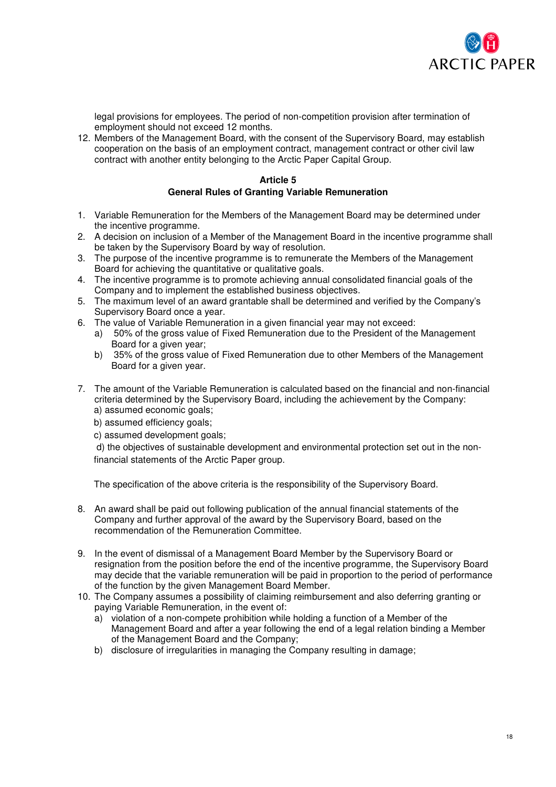

legal provisions for employees. The period of non-competition provision after termination of employment should not exceed 12 months.

12. Members of the Management Board, with the consent of the Supervisory Board, may establish cooperation on the basis of an employment contract, management contract or other civil law contract with another entity belonging to the Arctic Paper Capital Group.

## **Article 5 General Rules of Granting Variable Remuneration**

- 1. Variable Remuneration for the Members of the Management Board may be determined under the incentive programme.
- 2. A decision on inclusion of a Member of the Management Board in the incentive programme shall be taken by the Supervisory Board by way of resolution.
- 3. The purpose of the incentive programme is to remunerate the Members of the Management Board for achieving the quantitative or qualitative goals.
- 4. The incentive programme is to promote achieving annual consolidated financial goals of the Company and to implement the established business objectives.
- 5. The maximum level of an award grantable shall be determined and verified by the Company's Supervisory Board once a year.
- 6. The value of Variable Remuneration in a given financial year may not exceed:
	- a) 50% of the gross value of Fixed Remuneration due to the President of the Management Board for a given year;
	- b) 35% of the gross value of Fixed Remuneration due to other Members of the Management Board for a given year.
- 7. The amount of the Variable Remuneration is calculated based on the financial and non-financial criteria determined by the Supervisory Board, including the achievement by the Company:
	- a) assumed economic goals;
	- b) assumed efficiency goals;
	- c) assumed development goals;

 d) the objectives of sustainable development and environmental protection set out in the nonfinancial statements of the Arctic Paper group.

The specification of the above criteria is the responsibility of the Supervisory Board.

- 8. An award shall be paid out following publication of the annual financial statements of the Company and further approval of the award by the Supervisory Board, based on the recommendation of the Remuneration Committee.
- 9. In the event of dismissal of a Management Board Member by the Supervisory Board or resignation from the position before the end of the incentive programme, the Supervisory Board may decide that the variable remuneration will be paid in proportion to the period of performance of the function by the given Management Board Member.
- 10. The Company assumes a possibility of claiming reimbursement and also deferring granting or paying Variable Remuneration, in the event of:
	- a) violation of a non-compete prohibition while holding a function of a Member of the Management Board and after a year following the end of a legal relation binding a Member of the Management Board and the Company;
	- b) disclosure of irregularities in managing the Company resulting in damage;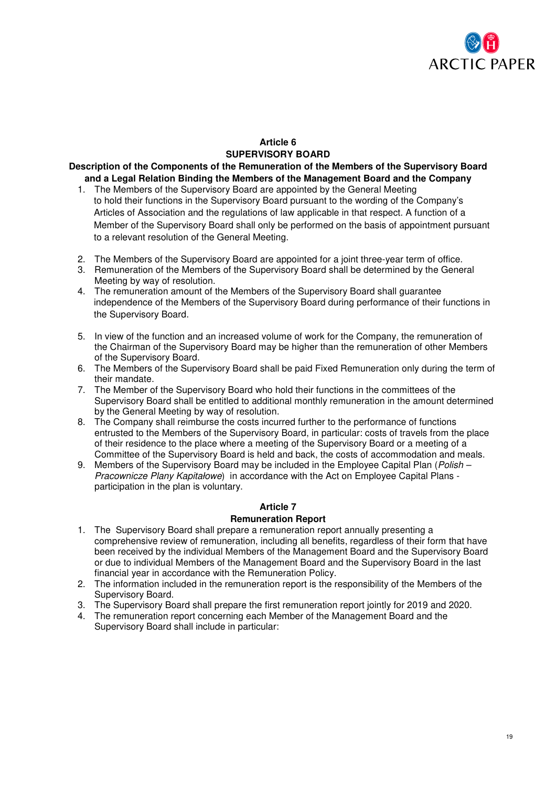

## **Article 6 SUPERVISORY BOARD**

**Description of the Components of the Remuneration of the Members of the Supervisory Board and a Legal Relation Binding the Members of the Management Board and the Company** 

- 1. The Members of the Supervisory Board are appointed by the General Meeting to hold their functions in the Supervisory Board pursuant to the wording of the Company's Articles of Association and the regulations of law applicable in that respect. A function of a Member of the Supervisory Board shall only be performed on the basis of appointment pursuant to a relevant resolution of the General Meeting.
- 2. The Members of the Supervisory Board are appointed for a joint three-year term of office.
- 3. Remuneration of the Members of the Supervisory Board shall be determined by the General Meeting by way of resolution.
- 4. The remuneration amount of the Members of the Supervisory Board shall guarantee independence of the Members of the Supervisory Board during performance of their functions in the Supervisory Board.
- 5. In view of the function and an increased volume of work for the Company, the remuneration of the Chairman of the Supervisory Board may be higher than the remuneration of other Members of the Supervisory Board.
- 6. The Members of the Supervisory Board shall be paid Fixed Remuneration only during the term of their mandate.
- 7. The Member of the Supervisory Board who hold their functions in the committees of the Supervisory Board shall be entitled to additional monthly remuneration in the amount determined by the General Meeting by way of resolution.
- 8. The Company shall reimburse the costs incurred further to the performance of functions entrusted to the Members of the Supervisory Board, in particular: costs of travels from the place of their residence to the place where a meeting of the Supervisory Board or a meeting of a Committee of the Supervisory Board is held and back, the costs of accommodation and meals.
- 9. Members of the Supervisory Board may be included in the Employee Capital Plan (*Polish* Pracownicze Plany Kapitałowe) in accordance with the Act on Employee Capital Plans participation in the plan is voluntary.

## **Article 7**

#### **Remuneration Report**

- 1. The Supervisory Board shall prepare a remuneration report annually presenting a comprehensive review of remuneration, including all benefits, regardless of their form that have been received by the individual Members of the Management Board and the Supervisory Board or due to individual Members of the Management Board and the Supervisory Board in the last financial year in accordance with the Remuneration Policy.
- 2. The information included in the remuneration report is the responsibility of the Members of the Supervisory Board.
- 3. The Supervisory Board shall prepare the first remuneration report jointly for 2019 and 2020.
- 4. The remuneration report concerning each Member of the Management Board and the Supervisory Board shall include in particular: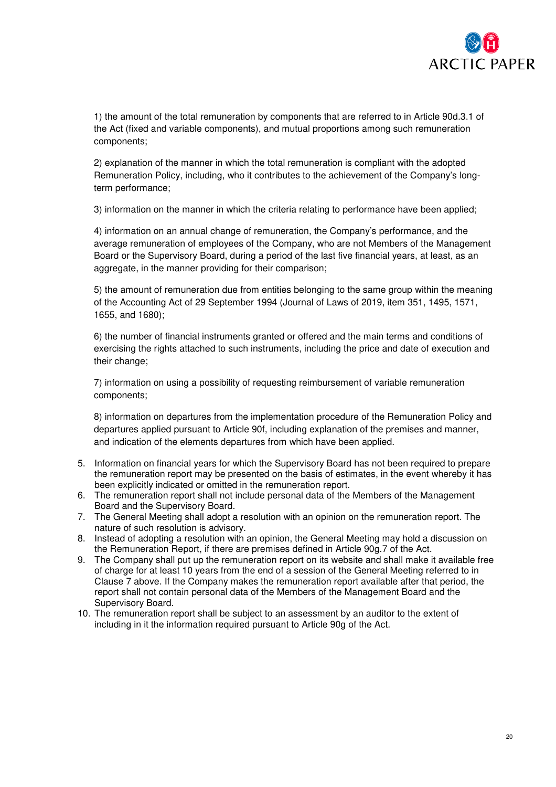

1) the amount of the total remuneration by components that are referred to in Article 90d.3.1 of the Act (fixed and variable components), and mutual proportions among such remuneration components;

2) explanation of the manner in which the total remuneration is compliant with the adopted Remuneration Policy, including, who it contributes to the achievement of the Company's longterm performance;

3) information on the manner in which the criteria relating to performance have been applied;

4) information on an annual change of remuneration, the Company's performance, and the average remuneration of employees of the Company, who are not Members of the Management Board or the Supervisory Board, during a period of the last five financial years, at least, as an aggregate, in the manner providing for their comparison;

5) the amount of remuneration due from entities belonging to the same group within the meaning of the Accounting Act of 29 September 1994 (Journal of Laws of 2019, item 351, 1495, 1571, 1655, and 1680);

6) the number of financial instruments granted or offered and the main terms and conditions of exercising the rights attached to such instruments, including the price and date of execution and their change;

7) information on using a possibility of requesting reimbursement of variable remuneration components;

8) information on departures from the implementation procedure of the Remuneration Policy and departures applied pursuant to Article 90f, including explanation of the premises and manner, and indication of the elements departures from which have been applied.

- 5. Information on financial years for which the Supervisory Board has not been required to prepare the remuneration report may be presented on the basis of estimates, in the event whereby it has been explicitly indicated or omitted in the remuneration report.
- 6. The remuneration report shall not include personal data of the Members of the Management Board and the Supervisory Board.
- 7. The General Meeting shall adopt a resolution with an opinion on the remuneration report. The nature of such resolution is advisory.
- 8. Instead of adopting a resolution with an opinion, the General Meeting may hold a discussion on the Remuneration Report, if there are premises defined in Article 90g.7 of the Act.
- 9. The Company shall put up the remuneration report on its website and shall make it available free of charge for at least 10 years from the end of a session of the General Meeting referred to in Clause 7 above. If the Company makes the remuneration report available after that period, the report shall not contain personal data of the Members of the Management Board and the Supervisory Board.
- 10. The remuneration report shall be subject to an assessment by an auditor to the extent of including in it the information required pursuant to Article 90g of the Act.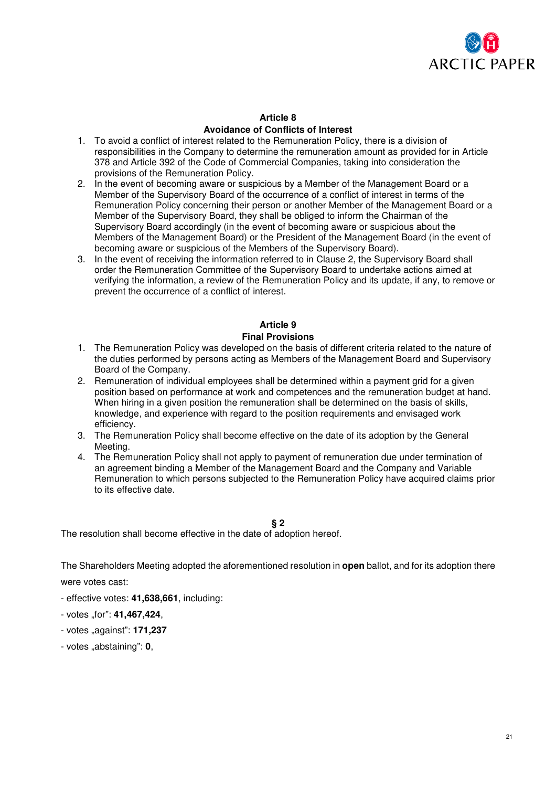

## **Article 8 Avoidance of Conflicts of Interest**

- 1. To avoid a conflict of interest related to the Remuneration Policy, there is a division of responsibilities in the Company to determine the remuneration amount as provided for in Article 378 and Article 392 of the Code of Commercial Companies, taking into consideration the provisions of the Remuneration Policy.
- 2. In the event of becoming aware or suspicious by a Member of the Management Board or a Member of the Supervisory Board of the occurrence of a conflict of interest in terms of the Remuneration Policy concerning their person or another Member of the Management Board or a Member of the Supervisory Board, they shall be obliged to inform the Chairman of the Supervisory Board accordingly (in the event of becoming aware or suspicious about the Members of the Management Board) or the President of the Management Board (in the event of becoming aware or suspicious of the Members of the Supervisory Board).
- 3. In the event of receiving the information referred to in Clause 2, the Supervisory Board shall order the Remuneration Committee of the Supervisory Board to undertake actions aimed at verifying the information, a review of the Remuneration Policy and its update, if any, to remove or prevent the occurrence of a conflict of interest.

# **Article 9**

## **Final Provisions**

- 1. The Remuneration Policy was developed on the basis of different criteria related to the nature of the duties performed by persons acting as Members of the Management Board and Supervisory Board of the Company.
- 2. Remuneration of individual employees shall be determined within a payment grid for a given position based on performance at work and competences and the remuneration budget at hand. When hiring in a given position the remuneration shall be determined on the basis of skills, knowledge, and experience with regard to the position requirements and envisaged work efficiency.
- 3. The Remuneration Policy shall become effective on the date of its adoption by the General Meeting.
- 4. The Remuneration Policy shall not apply to payment of remuneration due under termination of an agreement binding a Member of the Management Board and the Company and Variable Remuneration to which persons subjected to the Remuneration Policy have acquired claims prior to its effective date.

## **§ 2**

The resolution shall become effective in the date of adoption hereof.

The Shareholders Meeting adopted the aforementioned resolution in **open** ballot, and for its adoption there

were votes cast:

- effective votes: **41,638,661**, including:
- votes "for": **41,467,424**,
- votes "against": **171,237**
- votes "abstaining": **0**,